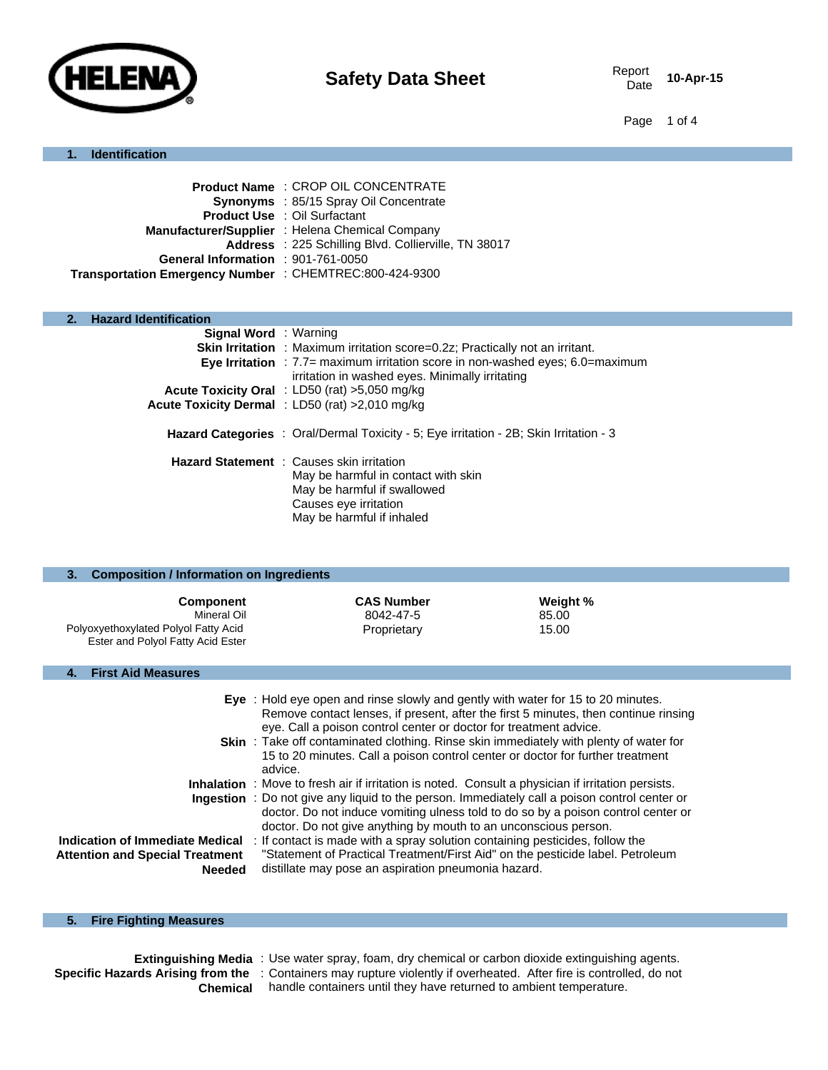

10-Apr-15

Page 1 of 4

#### **1. Identification**

|                                                         | <b>Product Name: CROP OIL CONCENTRATE</b>            |
|---------------------------------------------------------|------------------------------------------------------|
|                                                         | Synonyms : 85/15 Spray Oil Concentrate               |
|                                                         | <b>Product Use : Oil Surfactant</b>                  |
|                                                         | Manufacturer/Supplier : Helena Chemical Company      |
|                                                         | Address : 225 Schilling Blvd. Collierville, TN 38017 |
| General Information : 901-761-0050                      |                                                      |
| Transportation Emergency Number : CHEMTREC:800-424-9300 |                                                      |

#### **2. Hazard Identification**

| <b>Signal Word</b> : Warning | <b>Skin Irritation</b> : Maximum irritation score=0.2z; Practically not an irritant.<br><b>Eye Irritation</b> : $7.7$ = maximum irritation score in non-washed eyes; $6.0$ = maximum<br>irritation in washed eyes. Minimally irritating<br>Acute Toxicity Oral : LD50 (rat) >5,050 mg/kg |
|------------------------------|------------------------------------------------------------------------------------------------------------------------------------------------------------------------------------------------------------------------------------------------------------------------------------------|
|                              |                                                                                                                                                                                                                                                                                          |
|                              | Acute Toxicity Dermal : LD50 (rat) >2,010 mg/kg                                                                                                                                                                                                                                          |
|                              | <b>Hazard Categories</b> : Oral/Dermal Toxicity - 5; Eye irritation - 2B; Skin Irritation - 3                                                                                                                                                                                            |
|                              | <b>Hazard Statement</b> : Causes skin irritation                                                                                                                                                                                                                                         |
|                              | May be harmful in contact with skin                                                                                                                                                                                                                                                      |
|                              | May be harmful if swallowed                                                                                                                                                                                                                                                              |
|                              |                                                                                                                                                                                                                                                                                          |
|                              | Causes eye irritation                                                                                                                                                                                                                                                                    |
|                              |                                                                                                                                                                                                                                                                                          |
|                              | May be harmful if inhaled                                                                                                                                                                                                                                                                |

| <b>Composition / Information on Ingredients</b><br>3.                                                        |                                                                                                                                                                                                                                                                                                                                                                                                                                 |                            |  |
|--------------------------------------------------------------------------------------------------------------|---------------------------------------------------------------------------------------------------------------------------------------------------------------------------------------------------------------------------------------------------------------------------------------------------------------------------------------------------------------------------------------------------------------------------------|----------------------------|--|
| <b>Component</b><br>Mineral Oil<br>Polyoxyethoxylated Polyol Fatty Acid<br>Ester and Polyol Fatty Acid Ester | <b>CAS Number</b><br>8042-47-5<br>Proprietary                                                                                                                                                                                                                                                                                                                                                                                   | Weight %<br>85.00<br>15.00 |  |
| <b>First Aid Measures</b><br>4.                                                                              |                                                                                                                                                                                                                                                                                                                                                                                                                                 |                            |  |
|                                                                                                              | Eye : Hold eye open and rinse slowly and gently with water for 15 to 20 minutes.<br>Remove contact lenses, if present, after the first 5 minutes, then continue rinsing<br>eye. Call a poison control center or doctor for treatment advice.<br><b>Skin</b> : Take off contaminated clothing. Rinse skin immediately with plenty of water for<br>15 to 20 minutes. Call a poison control center or doctor for further treatment |                            |  |
|                                                                                                              | advice.<br>Inhalation: Move to fresh air if irritation is noted. Consult a physician if irritation persists.<br><b>Ingestion</b> : Do not give any liquid to the person. Immediately call a poison control center or<br>doctor. Do not induce vomiting ulness told to do so by a poison control center or                                                                                                                       |                            |  |
|                                                                                                              | doctor. Do not give anything by mouth to an unconscious person.                                                                                                                                                                                                                                                                                                                                                                 |                            |  |

#### **Indication of Immediate Medical** : If contact is made with a spray solution containing pesticides, follow the **Attention and Special Treatment Needed** "Statement of Practical Treatment/First Aid" on the pesticide label. Petroleum distillate may pose an aspiration pneumonia hazard.

#### **5. Fire Fighting Measures**

**Extinguishing Media** : Use water spray, foam, dry chemical or carbon dioxide extinguishing agents. Specific Hazards Arising from the : Containers may rupture violently if overheated. After fire is controlled, do not **Chemical** handle containers until they have returned to ambient temperature.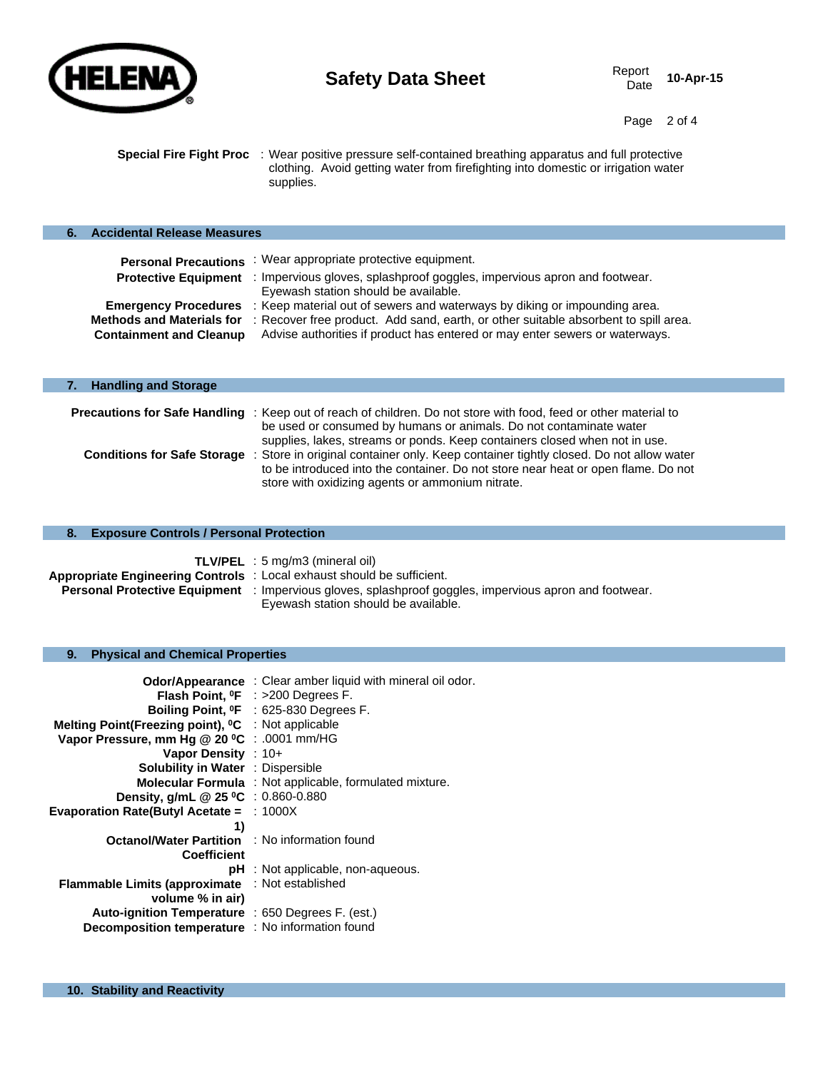

Page 2 of 4

**Special Fire Fight Proc** : Wear positive pressure self-contained breathing apparatus and full protective clothing. Avoid getting water from firefighting into domestic or irrigation water supplies.

| <b>Accidental Release Measures</b>                                 |                                                                                                                                                                    |
|--------------------------------------------------------------------|--------------------------------------------------------------------------------------------------------------------------------------------------------------------|
| <b>Personal Precautions</b>                                        | : Wear appropriate protective equipment.                                                                                                                           |
| <b>Protective Equipment</b>                                        | : Impervious gloves, splashproof goggles, impervious apron and footwear.<br>Eyewash station should be available.                                                   |
| <b>Emergency Procedures</b>                                        | : Keep material out of sewers and waterways by diking or impounding area.                                                                                          |
| <b>Methods and Materials for</b><br><b>Containment and Cleanup</b> | : Recover free product. Add sand, earth, or other suitable absorbent to spill area.<br>Advise authorities if product has entered or may enter sewers or waterways. |

| <b>Handling and Storage</b><br>7. |                                                                                                                                                                                                                                                                                                                                          |  |
|-----------------------------------|------------------------------------------------------------------------------------------------------------------------------------------------------------------------------------------------------------------------------------------------------------------------------------------------------------------------------------------|--|
|                                   | <b>Precautions for Safe Handling</b> : Keep out of reach of children. Do not store with food, feed or other material to<br>be used or consumed by humans or animals. Do not contaminate water                                                                                                                                            |  |
|                                   | supplies, lakes, streams or ponds. Keep containers closed when not in use.<br>Conditions for Safe Storage : Store in original container only. Keep container tightly closed. Do not allow water<br>to be introduced into the container. Do not store near heat or open flame. Do not<br>store with oxidizing agents or ammonium nitrate. |  |

|                                                                       | <b>TLV/PEL</b> : 5 mg/m3 (mineral oil)                                   |
|-----------------------------------------------------------------------|--------------------------------------------------------------------------|
| Appropriate Engineering Controls: Local exhaust should be sufficient. |                                                                          |
| <b>Personal Protective Equipment</b>                                  | : Impervious gloves, splashproof goggles, impervious apron and footwear. |
|                                                                       | Eyewash station should be available.                                     |

#### **9. Physical and Chemical Properties**

|                                                                | <b>Odor/Appearance</b> : Clear amber liquid with mineral oil odor. |
|----------------------------------------------------------------|--------------------------------------------------------------------|
|                                                                | <b>Flash Point, <math>^{\circ}</math>F</b> : >200 Degrees F.       |
|                                                                | Boiling Point, <sup>o</sup> F : 625-830 Degrees F.                 |
| Melting Point(Freezing point), <sup>o</sup> C : Not applicable |                                                                    |
| Vapor Pressure, mm Hg @ 20 °C : .0001 mm/HG                    |                                                                    |
| Vapor Density : 10+                                            |                                                                    |
| <b>Solubility in Water : Dispersible</b>                       |                                                                    |
|                                                                | <b>Molecular Formula</b> : Not applicable, formulated mixture.     |
| Density, g/mL @ 25 °C : 0.860-0.880                            |                                                                    |
| <b>Evaporation Rate(Butyl Acetate = : 1000X</b>                |                                                                    |
| 1)                                                             |                                                                    |
| <b>Octanol/Water Partition : No information found</b>          |                                                                    |
| <b>Coefficient</b>                                             |                                                                    |
|                                                                | $pH$ : Not applicable, non-aqueous.                                |
| <b>Flammable Limits (approximate</b>                           | : Not established                                                  |
| volume % in air)                                               |                                                                    |
| Auto-ignition Temperature : 650 Degrees F. (est.)              |                                                                    |
| Decomposition temperature : No information found               |                                                                    |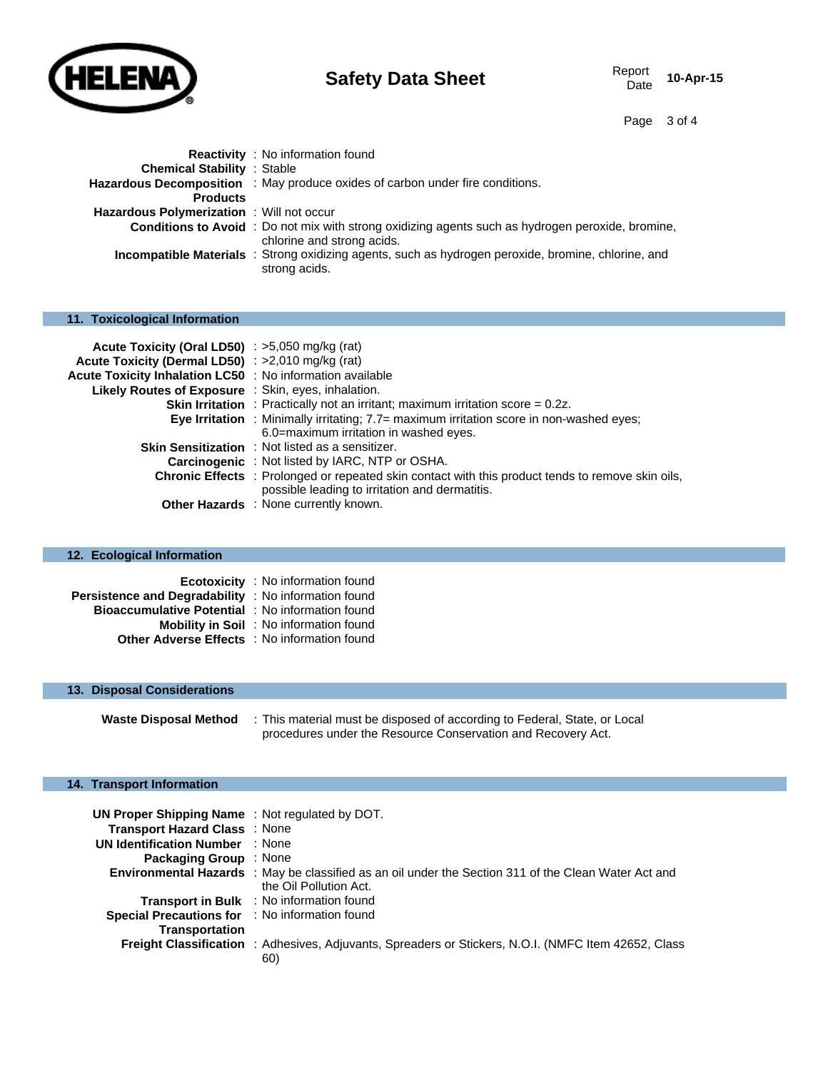

# **Safety Data Sheet** Report Report Data Sheet

10-Apr-15

Page 3 of 4

|                                                  | <b>Reactivity</b> : No information found                                                                                               |
|--------------------------------------------------|----------------------------------------------------------------------------------------------------------------------------------------|
| <b>Chemical Stability : Stable</b>               |                                                                                                                                        |
|                                                  | Hazardous Decomposition : May produce oxides of carbon under fire conditions.                                                          |
| <b>Products</b>                                  |                                                                                                                                        |
| <b>Hazardous Polymerization</b> : Will not occur |                                                                                                                                        |
|                                                  | <b>Conditions to Avoid</b> : Do not mix with strong oxidizing agents such as hydrogen peroxide, bromine,<br>chlorine and strong acids. |
|                                                  | <b>Incompatible Materials</b> : Strong oxidizing agents, such as hydrogen peroxide, bromine, chlorine, and<br>strong acids.            |

# **11. Toxicological Information**

| Acute Toxicity (Oral LD50) : >5,050 mg/kg (rat)           |                                                                                                          |
|-----------------------------------------------------------|----------------------------------------------------------------------------------------------------------|
| Acute Toxicity (Dermal LD50) : >2,010 mg/kg (rat)         |                                                                                                          |
| Acute Toxicity Inhalation LC50 : No information available |                                                                                                          |
| Likely Routes of Exposure : Skin, eyes, inhalation.       |                                                                                                          |
|                                                           | <b>Skin Irritation</b> : Practically not an irritant; maximum irritation score $= 0.2z$ .                |
|                                                           | Eye Irritation : Minimally irritating; $7.7 =$ maximum irritation score in non-washed eyes;              |
|                                                           | 6.0=maximum irritation in washed eyes.                                                                   |
|                                                           | <b>Skin Sensitization</b> : Not listed as a sensitizer.                                                  |
|                                                           | Carcinogenic : Not listed by IARC, NTP or OSHA.                                                          |
|                                                           | <b>Chronic Effects</b> : Prolonged or repeated skin contact with this product tends to remove skin oils, |
|                                                           | possible leading to irritation and dermatitis.                                                           |
|                                                           | <b>Other Hazards</b> : None currently known.                                                             |

# **12. Ecological Information**

|                                                         | <b>Ecotoxicity</b> : No information found      |
|---------------------------------------------------------|------------------------------------------------|
| Persistence and Degradability : No information found    |                                                |
| <b>Bioaccumulative Potential : No information found</b> |                                                |
|                                                         | <b>Mobility in Soil</b> : No information found |
| <b>Other Adverse Effects</b> : No information found     |                                                |

# **13. Disposal Considerations**

| <b>Waste Disposal Method</b> | : This material must be disposed of according to Federal, State, or Local |
|------------------------------|---------------------------------------------------------------------------|
|                              | procedures under the Resource Conservation and Recovery Act.              |

# **14. Transport Information**

| UN Proper Shipping Name: Not regulated by DOT.        |                                                                                                                                |
|-------------------------------------------------------|--------------------------------------------------------------------------------------------------------------------------------|
| Transport Hazard Class: None                          |                                                                                                                                |
| <b>UN Identification Number : None</b>                |                                                                                                                                |
| <b>Packaging Group</b> : None                         |                                                                                                                                |
|                                                       | Environmental Hazards : May be classified as an oil under the Section 311 of the Clean Water Act and<br>the Oil Pollution Act. |
|                                                       | <b>Transport in Bulk</b> : No information found                                                                                |
| <b>Special Precautions for : No information found</b> |                                                                                                                                |
| <b>Transportation</b>                                 |                                                                                                                                |
|                                                       | <b>Freight Classification</b> : Adhesives, Adjuvants, Spreaders or Stickers, N.O.I. (NMFC Item 42652, Class)<br>60)            |